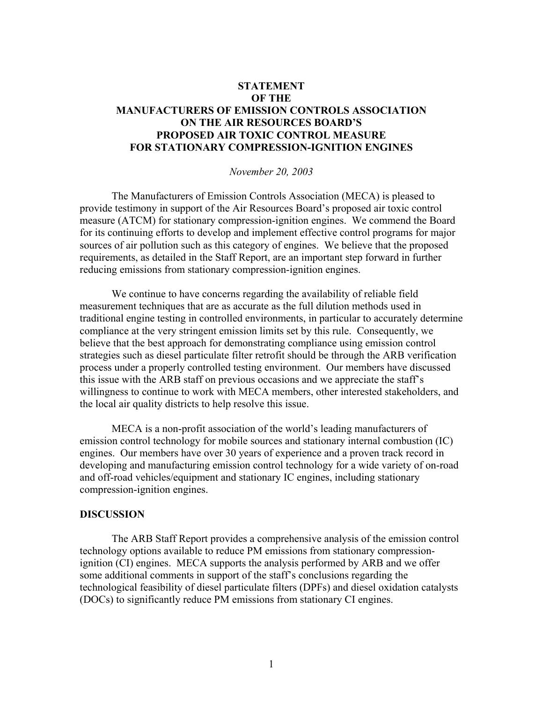# **STATEMENT OF THE MANUFACTURERS OF EMISSION CONTROLS ASSOCIATION ON THE AIR RESOURCES BOARD'S PROPOSED AIR TOXIC CONTROL MEASURE FOR STATIONARY COMPRESSION-IGNITION ENGINES**

### *November 20, 2003*

 The Manufacturers of Emission Controls Association (MECA) is pleased to provide testimony in support of the Air Resources Board's proposed air toxic control measure (ATCM) for stationary compression-ignition engines. We commend the Board for its continuing efforts to develop and implement effective control programs for major sources of air pollution such as this category of engines. We believe that the proposed requirements, as detailed in the Staff Report, are an important step forward in further reducing emissions from stationary compression-ignition engines.

We continue to have concerns regarding the availability of reliable field measurement techniques that are as accurate as the full dilution methods used in traditional engine testing in controlled environments, in particular to accurately determine compliance at the very stringent emission limits set by this rule. Consequently, we believe that the best approach for demonstrating compliance using emission control strategies such as diesel particulate filter retrofit should be through the ARB verification process under a properly controlled testing environment. Our members have discussed this issue with the ARB staff on previous occasions and we appreciate the staff's willingness to continue to work with MECA members, other interested stakeholders, and the local air quality districts to help resolve this issue.

MECA is a non-profit association of the world's leading manufacturers of emission control technology for mobile sources and stationary internal combustion (IC) engines. Our members have over 30 years of experience and a proven track record in developing and manufacturing emission control technology for a wide variety of on-road and off-road vehicles/equipment and stationary IC engines, including stationary compression-ignition engines.

### **DISCUSSION**

The ARB Staff Report provides a comprehensive analysis of the emission control technology options available to reduce PM emissions from stationary compressionignition (CI) engines. MECA supports the analysis performed by ARB and we offer some additional comments in support of the staff's conclusions regarding the technological feasibility of diesel particulate filters (DPFs) and diesel oxidation catalysts (DOCs) to significantly reduce PM emissions from stationary CI engines.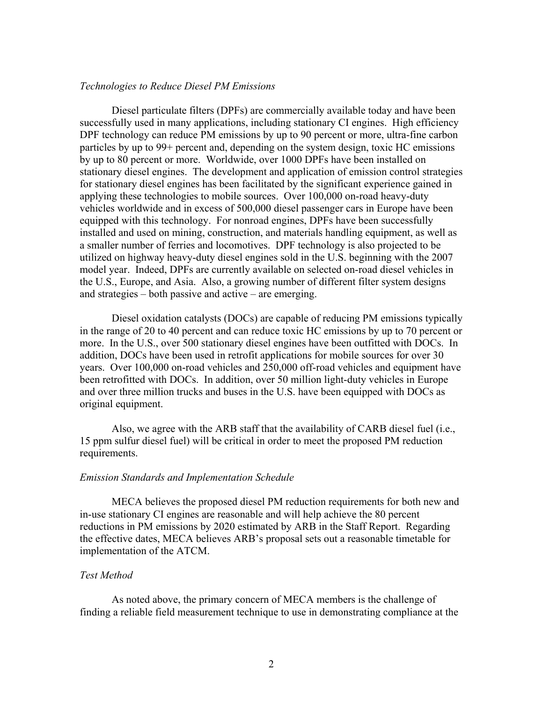#### *Technologies to Reduce Diesel PM Emissions*

Diesel particulate filters (DPFs) are commercially available today and have been successfully used in many applications, including stationary CI engines. High efficiency DPF technology can reduce PM emissions by up to 90 percent or more, ultra-fine carbon particles by up to 99+ percent and, depending on the system design, toxic HC emissions by up to 80 percent or more. Worldwide, over 1000 DPFs have been installed on stationary diesel engines. The development and application of emission control strategies for stationary diesel engines has been facilitated by the significant experience gained in applying these technologies to mobile sources. Over 100,000 on-road heavy-duty vehicles worldwide and in excess of 500,000 diesel passenger cars in Europe have been equipped with this technology. For nonroad engines, DPFs have been successfully installed and used on mining, construction, and materials handling equipment, as well as a smaller number of ferries and locomotives. DPF technology is also projected to be utilized on highway heavy-duty diesel engines sold in the U.S. beginning with the 2007 model year. Indeed, DPFs are currently available on selected on-road diesel vehicles in the U.S., Europe, and Asia. Also, a growing number of different filter system designs and strategies – both passive and active – are emerging.

Diesel oxidation catalysts (DOCs) are capable of reducing PM emissions typically in the range of 20 to 40 percent and can reduce toxic HC emissions by up to 70 percent or more. In the U.S., over 500 stationary diesel engines have been outfitted with DOCs. In addition, DOCs have been used in retrofit applications for mobile sources for over 30 years. Over 100,000 on-road vehicles and 250,000 off-road vehicles and equipment have been retrofitted with DOCs. In addition, over 50 million light-duty vehicles in Europe and over three million trucks and buses in the U.S. have been equipped with DOCs as original equipment.

Also, we agree with the ARB staff that the availability of CARB diesel fuel (i.e., 15 ppm sulfur diesel fuel) will be critical in order to meet the proposed PM reduction requirements.

# *Emission Standards and Implementation Schedule*

 MECA believes the proposed diesel PM reduction requirements for both new and in-use stationary CI engines are reasonable and will help achieve the 80 percent reductions in PM emissions by 2020 estimated by ARB in the Staff Report. Regarding the effective dates, MECA believes ARB's proposal sets out a reasonable timetable for implementation of the ATCM.

# *Test Method*

As noted above, the primary concern of MECA members is the challenge of finding a reliable field measurement technique to use in demonstrating compliance at the